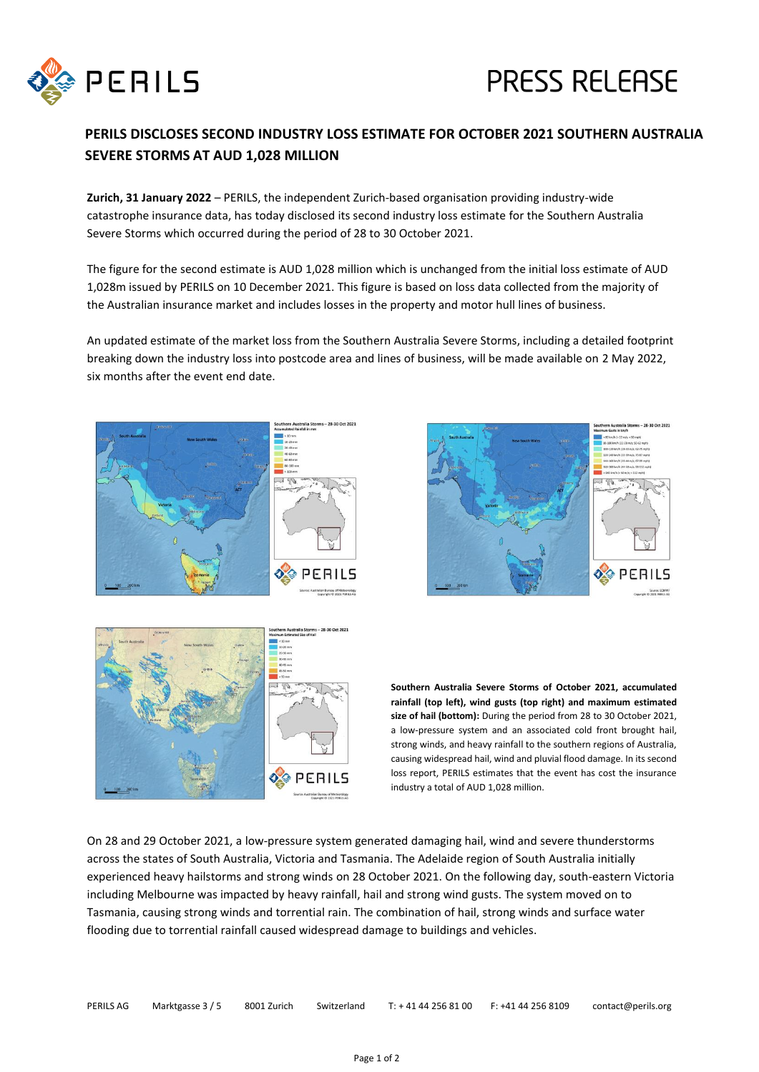

## **PERILS DISCLOSES SECOND INDUSTRY LOSS ESTIMATE FOR OCTOBER 2021 SOUTHERN AUSTRALIA SEVERE STORMS AT AUD 1,028 MILLION**

**Zurich, 31 January 2022** – PERILS, the independent Zurich-based organisation providing industry-wide catastrophe insurance data, has today disclosed its second industry loss estimate for the Southern Australia Severe Storms which occurred during the period of 28 to 30 October 2021.

The figure for the second estimate is AUD 1,028 million which is unchanged from the initial loss estimate of AUD 1,028m issued by PERILS on 10 December 2021. This figure is based on loss data collected from the majority of the Australian insurance market and includes losses in the property and motor hull lines of business.

An updated estimate of the market loss from the Southern Australia Severe Storms, including a detailed footprint breaking down the industry loss into postcode area and lines of business, will be made available on 2 May 2022, six months after the event end date.







**Southern Australia Severe Storms of October 2021, accumulated rainfall (top left), wind gusts (top right) and maximum estimated size of hail (bottom):** During the period from 28 to 30 October 2021, a low-pressure system and an associated cold front brought hail, strong winds, and heavy rainfall to the southern regions of Australia, causing widespread hail, wind and pluvial flood damage. In its second loss report, PERILS estimates that the event has cost the insurance industry a total of AUD 1,028 million.

On 28 and 29 October 2021, a low-pressure system generated damaging hail, wind and severe thunderstorms across the states of South Australia, Victoria and Tasmania. The Adelaide region of South Australia initially experienced heavy hailstorms and strong winds on 28 October 2021. On the following day, south-eastern Victoria including Melbourne was impacted by heavy rainfall, hail and strong wind gusts. The system moved on to Tasmania, causing strong winds and torrential rain. The combination of hail, strong winds and surface water flooding due to torrential rainfall caused widespread damage to buildings and vehicles.